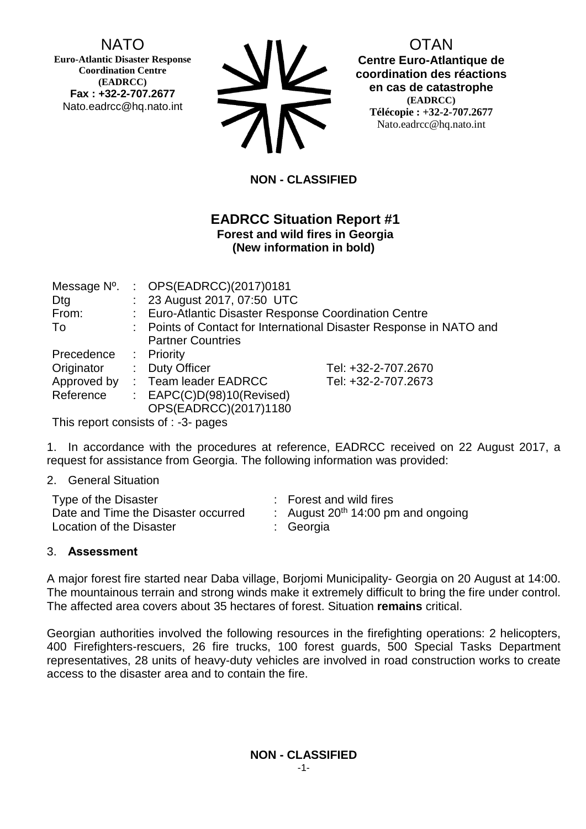## NATO

**Euro-Atlantic Disaster Response Coordination Centre (EADRCC) Fax : +32-2-707.2677** Nato.eadrcc@hq.nato.int

| <b>SIV</b> |
|------------|
| <b>712</b> |

**OTAN Centre Euro-Atlantique de coordination des réactions en cas de catastrophe (EADRCC) Télécopie : +32-2-707.2677** Nato.eadrcc@hq.nato.int

**NON - CLASSIFIED**

## **EADRCC Situation Report #1 Forest and wild fires in Georgia (New information in bold)**

|                                        |  | Message $N^0$ . : OPS(EADRCC)(2017)0181                             |                     |  |  |
|----------------------------------------|--|---------------------------------------------------------------------|---------------------|--|--|
| Dtg                                    |  | : 23 August 2017, 07:50 UTC                                         |                     |  |  |
| From:                                  |  | : Euro-Atlantic Disaster Response Coordination Centre               |                     |  |  |
| To                                     |  | : Points of Contact for International Disaster Response in NATO and |                     |  |  |
|                                        |  | <b>Partner Countries</b>                                            |                     |  |  |
| Precedence                             |  | : Priority                                                          |                     |  |  |
| Originator                             |  | : Duty Officer                                                      | Tel: +32-2-707.2670 |  |  |
|                                        |  | Approved by : Team leader EADRCC                                    | Tel: +32-2-707.2673 |  |  |
| Reference                              |  | : $EAPC(C)D(98)10(Revised)$                                         |                     |  |  |
|                                        |  | OPS(EADRCC)(2017)1180                                               |                     |  |  |
| This report consists of $: -3$ - pages |  |                                                                     |                     |  |  |

1. In accordance with the procedures at reference, EADRCC received on 22 August 2017, a request for assistance from Georgia. The following information was provided:

2. General Situation

Type of the Disaster **interest and wild fires** in Forest and wild fires Date and Time the Disaster occurred : August  $20<sup>th</sup> 14:00$  pm and ongoing Location of the Disaster **Example 20** and the Disaster **intervalse and the Contract A** 

## 3. **Assessment**

A major forest fire started near Daba village, Borjomi Municipality- Georgia on 20 August at 14:00. The mountainous terrain and strong winds make it extremely difficult to bring the fire under control. The affected area covers about 35 hectares of forest. Situation **remains** critical.

Georgian authorities involved the following resources in the firefighting operations: 2 helicopters, 400 Firefighters-rescuers, 26 fire trucks, 100 forest guards, 500 Special Tasks Department representatives, 28 units of heavy-duty vehicles are involved in road construction works to create access to the disaster area and to contain the fire.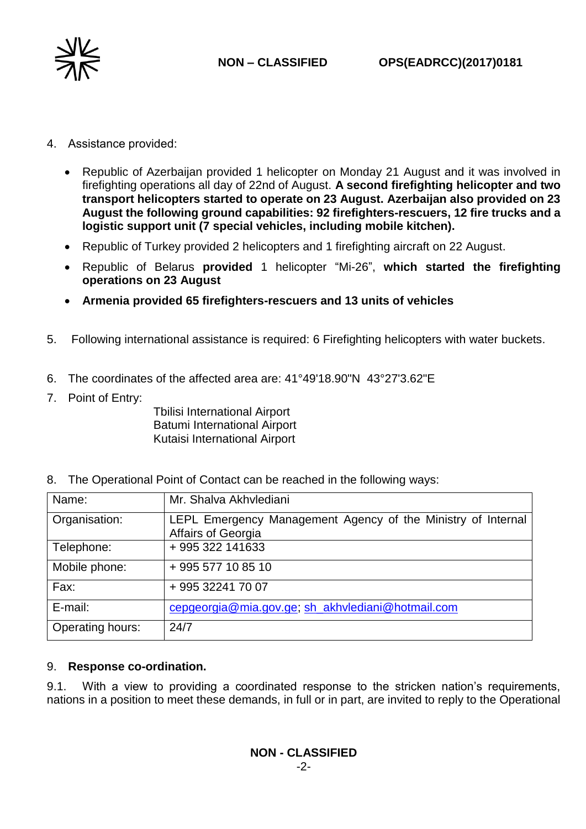

- 4. Assistance provided:
	- Republic of Azerbaijan provided 1 helicopter on Monday 21 August and it was involved in firefighting operations all day of 22nd of August. **A second firefighting helicopter and two transport helicopters started to operate on 23 August. Azerbaijan also provided on 23 August the following ground capabilities: 92 firefighters-rescuers, 12 fire trucks and a logistic support unit (7 special vehicles, including mobile kitchen).**
	- Republic of Turkey provided 2 helicopters and 1 firefighting aircraft on 22 August.
	- Republic of Belarus **provided** 1 helicopter "Mi-26", **which started the firefighting operations on 23 August**
	- **Armenia provided 65 firefighters-rescuers and 13 units of vehicles**
- 5. Following international assistance is required: 6 Firefighting helicopters with water buckets.
- 6. The coordinates of the affected area are: 41°49'18.90"N 43°27'3.62"E
- 7. Point of Entry:

 Tbilisi International Airport Batumi International Airport Kutaisi International Airport

8. The Operational Point of Contact can be reached in the following ways:

| Name:            | Mr. Shalva Akhvlediani                                                             |
|------------------|------------------------------------------------------------------------------------|
| Organisation:    | LEPL Emergency Management Agency of the Ministry of Internal<br>Affairs of Georgia |
| Telephone:       | +995 322 141633                                                                    |
| Mobile phone:    | +995 577 10 85 10                                                                  |
| Fax:             | +995 32241 70 07                                                                   |
| E-mail:          | cepgeorgia@mia.gov.ge; sh_akhvlediani@hotmail.com                                  |
| Operating hours: | 24/7                                                                               |

## 9. **Response co-ordination.**

9.1. With a view to providing a coordinated response to the stricken nation's requirements, nations in a position to meet these demands, in full or in part, are invited to reply to the Operational